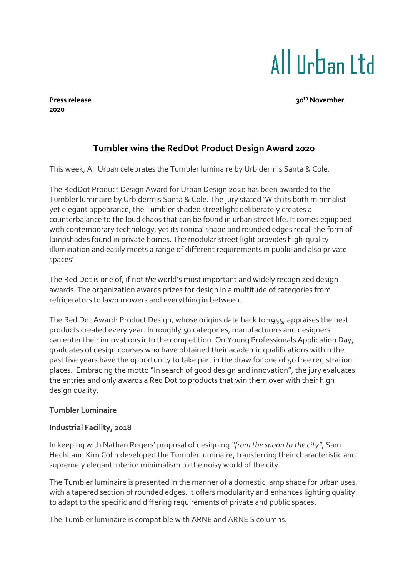# All IIrban I td

**2020**

#### **Press release** 30<sup>th</sup> November 30<sup>th</sup> November

## **Tumbler wins the RedDot Product Design Award 2020**

This week, All Urban celebrates the Tumbler luminaire by Urbidermis Santa & Cole.

The RedDot Product Design Award for Urban Design 2020 has been awarded to the Tumbler luminaire by Urbidermis Santa & Cole. The jury stated 'With its both minimalist yet elegant appearance, the Tumbler shaded streetlight deliberately creates a counterbalance to the loud chaos that can be found in urban street life. It comes equipped with contemporary technology, yet its conical shape and rounded edges recall the form of lampshades found in private homes. The modular street light provides high-quality illumination and easily meets a range of different requirements in public and also private spaces'

The [Red](about:blank) Dot is one of, if not *the* world's most important and widely recognized design awards. The organization awards prizes for design in a multitude of categories from refrigerators to lawn mowers and everything in between.

The Red Dot Award: Product Design, whose origins date back to 1955, appraises the best products created every year. In roughly 50 [categories,](about:blank) manufacturers and designers can [enter](about:blank) their innovations into the competition. On [Young Professionals Application Day,](about:blank#c41) graduates of design courses who have obtained their academic qualifications within the past five years have the opportunity to take part in the draw for one of 50 free registration places. Embracing the motto "In search of good design and innovation", the [jury](about:blank) evaluates the entries and only awards a Red Dot to products that win them over with their high design quality.

## **Tumbler Luminaire**

### **Industrial Facility, 2018**

In keeping with Nathan Rogers' proposal of designing *"from the spoon to the city",* Sam Hecht and Kim Colin developed the Tumbler luminaire, transferring their characteristic and supremely elegant interior minimalism to the noisy world of the city.

The Tumbler luminaire is presented in the manner of a domestic lamp shade for urban uses, with a tapered section of rounded edges. It offers modularity and enhances lighting quality to adapt to the specific and differing requirements of private and public spaces.

The Tumbler luminaire is compatible with ARNE and ARNE S columns.